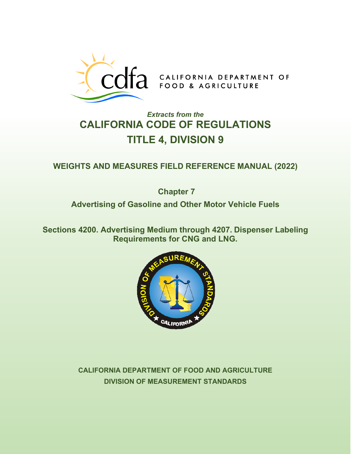

# *Extracts from the* **CALIFORNIA CODE OF REGULATIONS TITLE 4, DIVISION 9**

# **WEIGHTS AND MEASURES FIELD REFERENCE MANUAL (2022)**

**Chapter 7** 

# **Advertising of Gasoline and Other Motor Vehicle Fuels**

**Sections 4200. Advertising Medium through 4207. Dispenser Labeling Requirements for CNG and LNG.**



**CALIFORNIA DEPARTMENT OF FOOD AND AGRICULTURE DIVISION OF MEASUREMENT STANDARDS**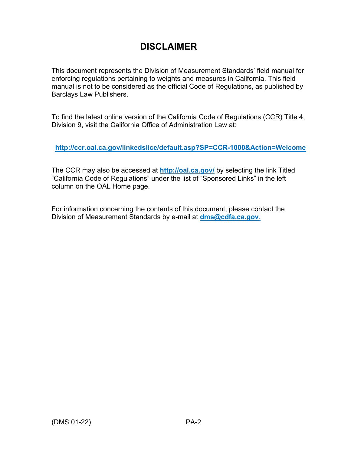# **DISCLAIMER**

This document represents the Division of Measurement Standards' field manual for enforcing regulations pertaining to weights and measures in California. This field manual is not to be considered as the official Code of Regulations, as published by Barclays Law Publishers.

To find the latest online version of the California Code of Regulations (CCR) Title 4, Division 9, visit the California Office of Administration Law at:

**<http://ccr.oal.ca.gov/linkedslice/default.asp?SP=CCR-1000&Action=Welcome>**

The CCR may also be accessed at **<http://oal.ca.gov/>** by selecting the link Titled "California Code of Regulations" under the list of "Sponsored Links" in the left column on the OAL Home page.

For information concerning the contents of this document, please contact the Division of Measurement Standards by e-mail at **[dms@cdfa.ca.gov](mailto:dms@cdfa.ca.gov)**.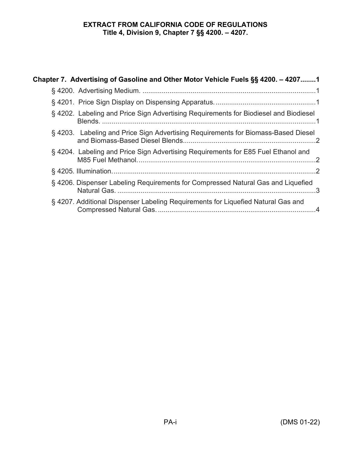## **EXTRACT FROM CALIFORNIA CODE OF REGULATIONS Title 4, Division 9, Chapter 7 §§ 4200. – 4207.**

| Chapter 7. Advertising of Gasoline and Other Motor Vehicle Fuels §§ 4200. - 42071    |  |
|--------------------------------------------------------------------------------------|--|
|                                                                                      |  |
|                                                                                      |  |
| § 4202. Labeling and Price Sign Advertising Requirements for Biodiesel and Biodiesel |  |
| §4203. Labeling and Price Sign Advertising Requirements for Biomass-Based Diesel     |  |
| § 4204. Labeling and Price Sign Advertising Requirements for E85 Fuel Ethanol and    |  |
|                                                                                      |  |
| § 4206. Dispenser Labeling Requirements for Compressed Natural Gas and Liquefied     |  |
| § 4207. Additional Dispenser Labeling Requirements for Liquefied Natural Gas and     |  |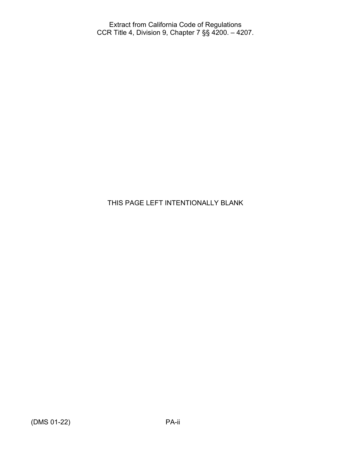Extract from California Code of Regulations CCR Title 4, Division 9, Chapter 7 §§ 4200. – 4207.

# THIS PAGE LEFT INTENTIONALLY BLANK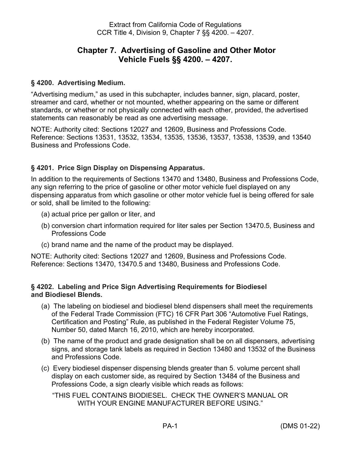# **Chapter 7. Advertising of Gasoline and Other Motor Vehicle Fuels §§ 4200. – 4207.**

## <span id="page-4-1"></span><span id="page-4-0"></span>**§ 4200. Advertising Medium.**

"Advertising medium," as used in this subchapter, includes banner, sign, placard, poster, streamer and card, whether or not mounted, whether appearing on the same or different standards, or whether or not physically connected with each other, provided, the advertised statements can reasonably be read as one advertising message.

NOTE: Authority cited: Sections 12027 and 12609, Business and Professions Code. Reference: Sections 13531, 13532, 13534, 13535, 13536, 13537, 13538, 13539, and 13540 Business and Professions Code.

## <span id="page-4-2"></span>**§ 4201. Price Sign Display on Dispensing Apparatus.**

In addition to the requirements of Sections 13470 and 13480, Business and Professions Code, any sign referring to the price of gasoline or other motor vehicle fuel displayed on any dispensing apparatus from which gasoline or other motor vehicle fuel is being offered for sale or sold, shall be limited to the following:

- (a) actual price per gallon or liter, and
- (b) conversion chart information required for liter sales per Section 13470.5, Business and Professions Code
- (c) brand name and the name of the product may be displayed.

NOTE: Authority cited: Sections 12027 and 12609, Business and Professions Code. Reference: Sections 13470, 13470.5 and 13480, Business and Professions Code.

## <span id="page-4-3"></span>**§ 4202. Labeling and Price Sign Advertising Requirements for Biodiesel and Biodiesel Blends.**

- (a) The labeling on biodiesel and biodiesel blend dispensers shall meet the requirements of the Federal Trade Commission (FTC) 16 CFR Part 306 "Automotive Fuel Ratings, Certification and Posting" Rule, as published in the Federal Register Volume 75, Number 50, dated March 16, 2010, which are hereby incorporated.
- (b) The name of the product and grade designation shall be on all dispensers, advertising signs, and storage tank labels as required in Section 13480 and 13532 of the Business and Professions Code.
- (c) Every biodiesel dispenser dispensing blends greater than 5. volume percent shall display on each customer side, as required by Section 13484 of the Business and Professions Code, a sign clearly visible which reads as follows:

"THIS FUEL CONTAINS BIODIESEL. CHECK THE OWNER'S MANUAL OR WITH YOUR ENGINE MANUFACTURER BEFORE USING."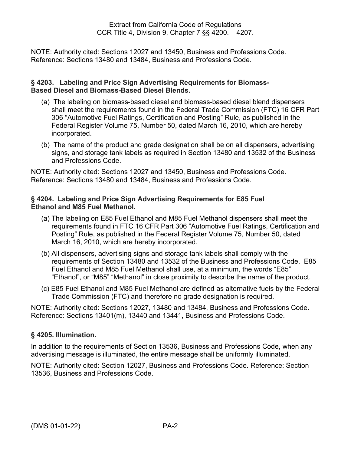NOTE: Authority cited: Sections 12027 and 13450, Business and Professions Code. Reference: Sections 13480 and 13484, Business and Professions Code.

## <span id="page-5-0"></span>**§ 4203. Labeling and Price Sign Advertising Requirements for Biomass-Based Diesel and Biomass-Based Diesel Blends.**

- (a) The labeling on biomass-based diesel and biomass-based diesel blend dispensers shall meet the requirements found in the Federal Trade Commission (FTC) 16 CFR Part 306 "Automotive Fuel Ratings, Certification and Posting" Rule, as published in the Federal Register Volume 75, Number 50, dated March 16, 2010, which are hereby incorporated.
- (b) The name of the product and grade designation shall be on all dispensers, advertising signs, and storage tank labels as required in Section 13480 and 13532 of the Business and Professions Code.

NOTE: Authority cited: Sections 12027 and 13450, Business and Professions Code. Reference: Sections 13480 and 13484, Business and Professions Code.

## <span id="page-5-1"></span>**§ 4204. Labeling and Price Sign Advertising Requirements for E85 Fuel Ethanol and M85 Fuel Methanol.**

- (a) The labeling on E85 Fuel Ethanol and M85 Fuel Methanol dispensers shall meet the requirements found in FTC 16 CFR Part 306 "Automotive Fuel Ratings, Certification and Posting" Rule, as published in the Federal Register Volume 75, Number 50, dated March 16, 2010, which are hereby incorporated.
- (b) All dispensers, advertising signs and storage tank labels shall comply with the requirements of Section 13480 and 13532 of the Business and Professions Code. E85 Fuel Ethanol and M85 Fuel Methanol shall use, at a minimum, the words "E85" "Ethanol", or "M85" "Methanol" in close proximity to describe the name of the product.
- (c) E85 Fuel Ethanol and M85 Fuel Methanol are defined as alternative fuels by the Federal Trade Commission (FTC) and therefore no grade designation is required.

NOTE: Authority cited: Sections 12027, 13480 and 13484, Business and Professions Code. Reference: Sections 13401(m), 13440 and 13441, Business and Professions Code.

## <span id="page-5-2"></span>**§ 4205***.* **Illumination.**

In addition to the requirements of Section 13536, Business and Professions Code, when any advertising message is illuminated, the entire message shall be uniformly illuminated.

NOTE: Authority cited: Section 12027, Business and Professions Code. Reference: Section 13536, Business and Professions Code.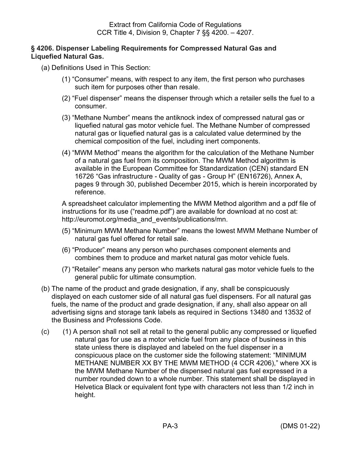## <span id="page-6-0"></span>**§ 4206. Dispenser Labeling Requirements for Compressed Natural Gas and Liquefied Natural Gas.**

- (a) Definitions Used in This Section:
	- (1) "Consumer" means, with respect to any item, the first person who purchases such item for purposes other than resale.
	- (2) "Fuel dispenser" means the dispenser through which a retailer sells the fuel to a consumer.
	- (3) "Methane Number" means the antiknock index of compressed natural gas or liquefied natural gas motor vehicle fuel. The Methane Number of compressed natural gas or liquefied natural gas is a calculated value determined by the chemical composition of the fuel, including inert components.
	- (4) "MWM Method" means the algorithm for the calculation of the Methane Number of a natural gas fuel from its composition. The MWM Method algorithm is available in the European Committee for Standardization (CEN) standard EN 16726 "Gas infrastructure - Quality of gas - Group H" (EN16726), Annex A, pages 9 through 30, published December 2015, which is herein incorporated by reference.

A spreadsheet calculator implementing the MWM Method algorithm and a pdf file of instructions for its use ("readme.pdf") are available for download at no cost at: http://euromot.org/media\_and\_events/publications/mn.

- (5) "Minimum MWM Methane Number" means the lowest MWM Methane Number of natural gas fuel offered for retail sale.
- (6) "Producer" means any person who purchases component elements and combines them to produce and market natural gas motor vehicle fuels.
- (7) "Retailer" means any person who markets natural gas motor vehicle fuels to the general public for ultimate consumption.
- (b) The name of the product and grade designation, if any, shall be conspicuously displayed on each customer side of all natural gas fuel dispensers. For all natural gas fuels, the name of the product and grade designation, if any, shall also appear on all advertising signs and storage tank labels as required in Sections 13480 and 13532 of the Business and Professions Code.
- (c) (1) A person shall not sell at retail to the general public any compressed or liquefied natural gas for use as a motor vehicle fuel from any place of business in this state unless there is displayed and labeled on the fuel dispenser in a conspicuous place on the customer side the following statement: "MINIMUM METHANE NUMBER XX BY THE MWM METHOD (4 CCR 4206)," where XX is the MWM Methane Number of the dispensed natural gas fuel expressed in a number rounded down to a whole number. This statement shall be displayed in Helvetica Black or equivalent font type with characters not less than 1/2 inch in height.